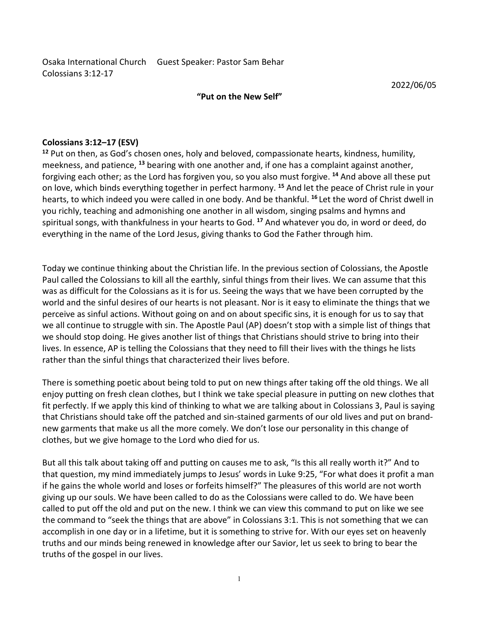Osaka International Church Guest Speaker: Pastor Sam Behar<br>Colossians 3:12-17<br>**Put on the New Self"** 2022/06/05 Osaka International Church Guest Speaker: Pastor Sam Behar<br>Colossians 3:12-17<br>**"Put on the New Self"** Example of the New Self"<br>
"Put on the New Self"<br>
"Put on the New Self"<br>
"Put and heloved compassionate hearts kindness humility

Osaka International Church Guest Speaker: Pastor Sam Behar<br>Colossians 3:12-17<br> **"Put on the New Self"**<br> **Colossians 3:12-17 (ESV)**<br>
<sup>12</sup> Put on then, as God's chosen ones, holy and beloved, compassionate hearts, kindnes<br>
m Colossians 3:12-17<br>
Colossians 3:12-17<br> **Colossians 3:12-17 (ESV)**<br> **Colossians 3:12-17 (ESV)**<br> **Colossians 3:12-17 (ESV)**<br>
<sup>12</sup> Put on then, as God's chosen ones, holy and beloved, compassionate hearts, kindness, humility Osaka International Church Guest Speaker: Pastor Sam Behar<br>
Colossians 3:12-17<br>
"Put on the New Self"<br>
"Put on the New Self"<br>
"Put on then, as God's chosen ones, holy and beloved, compassionate hearts, kindness, humility,<br> Colossians 3:12-17<br> **Colossians 3:12-17**<br> **Colossians 3:12-17** (ESV)<br> **Colossians 3:12-17 (ESV)**<br> **Colossians 3:12-17 (ESV)**<br> **Colossians 3:12-17 (ESV)**<br> **Colossians 3:12-17 (ESV)**<br>  $\text{F2P1U}$  on then, as Good's choosen Osaka International Church Guest Speaker: Pastor Sam Behar<br>
"Put on the New Self" 2022/06/05<br>
"Put on then, as God's chosen ones, holy and beloved, compassionate hearts, kindness, humility,<br>
The put on then, as God's chose Osaka International Church Guest Speaker: Pastor Sam Behar<br>Colossians 3:12-17 (ESV)<br>
"Put on the New Self" 2022/06/05<br>
"Put on the New Self" 2022/06/05<br>
"Put on the New Self" 2022/06/05<br>
"Colossians 3:12-17 (ESV)<br>
methems, Colossians 3:12-17 (ESV)<br>
Colossians 3:12-17 (ESV)<br>
Colossians 3:12-17 (ESV)<br>
<sup>12</sup> Put on then, as God's chosen ones, holy and beloved, compassionate hearts, kindness, humility,<br>
<sup>12</sup> Put on then, as God's chosen ones, ho Osaka International Church Guest Speaker: Pastor Sam Behar<br>
Colossians 3:12-17 (ESV)<br>
"Put on the New Self"<br>
2022/06/05<br>
12 Put on then, as God's chosen ones, holy and beloved, compassionate hearts, kindness, humility,<br>
me Oslaka International Church Guest Speaker: Pastor Sam Behar<br>
"Put on the New Self"<br>
"Put on the n, as God's chosen ones, holy and beloved, compassionate hearts, kindness, humility,<br>
The Put on the n, as God's chosen ones, 2022/06/05<br>
"Put on the New Self"<br>
2022/06/05<br>
2022/06/05<br>
2022/06/05<br>
2022/06/05<br>
2022/06/05<br>
2022/06/05<br>
2022<br>
2022/06/05<br>
2022<br>
2022 to the continue the Christian guit of one another and, if one has formed, it and above <sup>22</sup> 22/2/06/05<br>
<sup>22</sup> Put on then, as God's chosen ones, holy and beloved, compassionate hearts, kindness, humility,<br>
<sup>22</sup> Put on then, as God's chosen ones, holy and beloved, compassionate hearts, kindness, humility,<br>
me **Colossians 3:12–17 (ESV)**<br> **Colossians 3:12–17 (ESV)**<br> **Colossians as God's chossen ones, holly and beloved, compassionate hearts, kindness, humility,<br>
merekness, and patience, <sup>38</sup> bearing with one another and, if one ha** 

Colossians 3:12–17 (ESV)<br><sup>12</sup> Put on then, as God's chosen ones, holy and beloved, compassionate hearts, kindness, humility,<br>meckiness, and pattence, <sup>13</sup> bearing with one another and, if one has a complaint against anothe **Colossians 3:12–17 (ESV)**<br><sup>12</sup> Put on then, as God's chosen ones, holy and beloved, compassionate hearts, kindness, humility,<br>meekness, and patience, <sup>13</sup> bearing with one another and, if one has a complaint against anoth Colossians 3:12-17 (ESV)<br><sup>12</sup> Put on then, as God's chosen ones, holy and beloved, compassionate hearts, kindness, humility,<br>meekness, and patience, <sup>13</sup> bearing with one another and, if one has a complaint against another Colossians 3:12—1 (ESW)<br>
Colossians 3:12—1 (ESW)<br>
Colossians 3:12—1 (ESW) and beloved, compassionate hearts, kindness, numility,<br>
meekness, and pattence, <sup>13</sup> bearing with one another and, if one has a complaint against an <sup>42</sup> Put on then, as Good's chosen ones, holy and beloved, compassionate hearts, kindness, humantly, forgiving each other; as the Lord has forgiven you, so you also must forgive. <sup>44</sup> And above all these put on love, which meekmess, and pattence, <sup>24</sup> bearing with one another and, it one has a complaint against another, they as the sinful tend the pactering to their forest than the sinful tend the pacte of Christ rule in your forejoing to ab on love, which binds everything together in pertect harmony. "And let the peace of Christ rule in your chalv, teaching and admonishing one another in all wisdom, singing psalms and hymns and<br>you richly, teaching and admoni hearts, to which indeed you were called in one booy. And be thankful. <sup>we</sup>let the word of Christopard of Christian clusters, by our richly, teaching and admonishing one another in all wisdom, singing psalms and lynns and<br>s you richly, teaching and admonishing one another in all wisdom, singing psalms and nymiss and<br>spiritual songs, with thankfulness in your hearts to God. <sup>17</sup> And whatever you do, in word or deed, do<br>everything in, the name spiritual songs, with thankfulness in your hearts to God. <sup>2</sup> And whatever you do, in word or deed, do<br>verywhing in the name of the Lord Jesus, giving thanks to God the Father through him.<br>Today we continue thinking about everything in the name of the Lord Jesus, giving thanks to God the Falter friough him.<br>Today we continue thinking about the Christian life. In the previous section of Colossians, the Apostle<br>Paul called the Colossians to k Today we continue thinking about the Christian life. In the previous section of Colossians, the Apostle<br>Paul called the Colossians to kill all the earthly, sinful things from their lives. We can assume that this<br>was as dif I oday we contriute this talk about the Christian life. In the previous section of Colossians, the Apost<br>Paul called the Colossians to kill all the earthly, sinful things from their lives. We can assume that this<br>was as di Paul called the Colossians to kill all the earthly, simult hings from their tives. We can assume that this purchase was as difficult for the Colossians as it is for us. Seeing the ways that we have been corrupted by the wo

was as difficult for the Colossians as it is for us. Seeing the ways that we have been corrupted by the whole same of the whole same of the whole same of the syncole of this syncosian shims. World and stop doing, the given word and the sintlu desires of our hearts is not pleasant. Nor is it easy to eliminate the things that we all continue to struggle with sin. The Apostle Paul (AP) doesn't stop with a simple list of things that we all conti pereive as sintul attions. Without going on and on about specific sins, it is enough for us to say that some the old and but specific sins, it is enough for us to say that we should stop doing. He gives another list of thi we all continue to struggle with sin. The Apostle Paul (AP) doesn't stop with a simple list of things that are the colossians that they need to fill their lives thing that are lives. In essence, AP is telling the Colossian we should stop doing. He guess another list of things that Christians should strive to bring into their lives. In essence, AP is telling the Colossians that they need to fill their lives with the things le lists rather tha lives. In essence, AP is telling the Conssians that they need to full their wes with the things he lists<br>rather than the sinful things that characterized their lives before.<br>There is something poetic about being told to pu rather than the sintul things that characterized their lives before.<br>There is something poetic about being told to put on new things after taking off the old things<br>enjoy putting on fresh clean clothes, but I think we take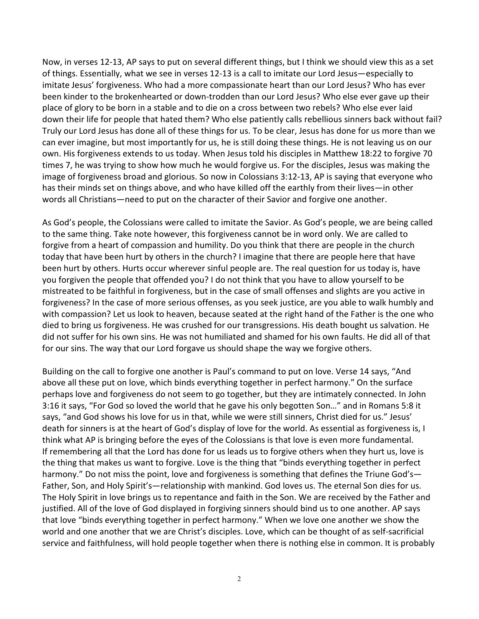Now, in verses 12-13, AP says to put on several different things, but I think we should view this as a set<br>of things. Essentially, what we see in verses 12-13 is a call to imitate our Lord Jesus—especially to<br>imitate Jesus Now, in verses 12-13, AP says to put on several different things, but I think we should view this as a set<br>of things. Essentially, what we see in verses 12-13 is a call to imitate our Lord Jesus—especially to<br>imitate Jesus Now, in verses 12-13, AP says to put on several different things, but I think we should view this as a set<br>of things. Essentially, what we see in verses 12-13 is a call to imitate our Lord Jesus—especially to<br>imitate Jesus Now, in verses 12-13, AP says to put on several different things, but I think we should view this as a set<br>of things. Essentially, what we see in verses 12-13 is a call to imitate our Lord Jesus—especially to<br>imitate Jesus Now, in verses 12-13, AP says to put on several different things, but I think we should view this as a set<br>of things. Essentially, what we see in verses 12-13 is a call to imitate our Lord Jesus—especially to<br>imitate Jesus Now, in verses 12-13, AP says to put on several different things, but I think we should view this as a set<br>of things. Essentially, what we see in verses 12-13 is a call to initiate our Lord Jesus-especially to<br>imitate Jesu Now, in verses 12-13, AP says to put on several different things, but I think we should view this as a set<br>of things. Essentially, what we see in verses 12-13 is a call to imitate our Lord Jesus? —especially to<br>imitate Jes Now, in verses 12-13, AP says to put on several different things, but I think we should view this as a set<br>of things. Essentially, what we see in verses 12-13 is a call to imitate our Lord Jesus-especially to<br>imitate Jesus Now, in verses 12-13, AP says to put on several different things, but I think we should view this as a set<br>of things. Essentially, what we see in verses 12-13 is a call to imitate our Lord Jesus—especially to<br>imitate Jesus Now, in verses 12-13, AP says to put on several different things, but I think we should view this as a set<br>of things. Essentially, what we see in verses 12-13 is a call to imitate our Lord Jesus—especially to<br>imitate Jesus Now, in verses 12-13, AP says to put on several different things, but I think we should view this as a set<br>of things. Essentially, what we see in verses 12-13 is a call to imitate our Lord Jesus—especially to<br>imitate lesus Now, in verses 12-13, AP says to put on several different things, but I think we should view this as a set of things. Essentially, what we sein verses 12-13 is a call to initiate our Lord lessus?—especially to imitate lesu Now, in verses 12-13, AP says to put on several different things, but I think we should view this as a set<br>of things. Essentially, what we see in verses 12-13 is a call to imitate our Lord Jesus-especially to<br>imitate Jesus Now, in verses 12-13, AP says to put on several different things, but I think we should view this as a set<br>of things. Essentially, what we see in verses 12-13 is a call to imitate our Lord Jesus—especially to<br>imitate lesus Now, in verses 12-13, AP says to put on several different things, but I think we should view this as a set<br>of things. Essentially, what we see in verses 12-13 is a call to imitate our Lord Jesus<sup>-</sup> especially to<br>imitate Je Now, in verses 12-13, AP says to put on several different things, but I think we should view this as a set<br>imitate lesus' forgiveness. Who hela a more compassionate heart than our Lord Jesus—especially to<br>imitate lesus' fo Now, in verses 12-1.3, AP says to put on several different things, but I think we should view those as set of minses. Essentially, what we see in verses 12-13 is a call to imitate our Lord Jesus<sup>-2</sup> Septerally to imitate l of things. Essentially, what we see in verress 12-13 is a call to imitate our lord lesus<sup>-</sup> especially to the tother inteler of the procedure in the compassionate heart han our Lord Jesus? Who has ever been kinder to the b imitate lesus' forgiveness. Who had a more compassionate heart than our Lord Essie / Who lase ever gave up their<br>blace of glory to be born in a stable and to die on a cross between two rebels? Who else ever gave up their<br>d

beat wire to the brokenhearded or down-trodden than our lord less? Who else ever gave up their<br>place of glory to be born in a stable and to die on a cross between two rebels? Who else ever laid<br>down their life for people t place of glory to be born in a stable and to die on a cross between two rebels? Who else ever laid of the case for more than do die on a cross between two rebels. They our Lord Jesus has done all of these things for us. To down their life tor people that have a because that hand With of the pather wis respectively and stock without tail?<br>Truly our Lord Jesus has done all of these things for us. To be clear, Jesus has done for us more than we Truly our Lord Jessie has done all of these things for us. To be clear, Jessie has done for us more than we<br>for a year imagine, but most importantly for us, he is still doing these things. He is not leaving us on our<br>own. can ever image in, but most importantly for us, he is still doing these things. He is not leaving us on our this origive as the stoches of forgive 70 times 7, he was trying to show how much he would forgive us. For the dis own. His forgiveness exterats to us today. When less<br>tions of, the way trying to show how much he would forgive us. For the disciples, Jesus was making the<br>image of forgiveness broad and glorious. So now in Colossians 3:12 image of torgiveness broad and giorous. So now in Colossians 3:12-13, AP is saying flart every<br>has their minds set on things above, and who have killed off the earthly from their lives—in other<br>words all Christians—need to above all ching is a to put on lowe all the mean that the reaching the mean the meas the measure and the measure and the measure and the measure of the same thing. Take note however, this forgiveness cannot be in word only words all Christians—need to put on the character of their Savior and torgive one another.<br>As God's people, the Colossians were called to imitate the Savior. As God's people, we are deled to the same thing. Take note howev As God's people, the Colossians were called to imitate the Savior. As God's people, we are being called to the same thing, Take note however, this forgiveness cannot be in word only. We are called to the same that that tha As God's people, the Colossians were called to imitted the Savor. As God's people, we are being called to the same thing. Take not be however, this forgiveness cannot be in word only. We are called to forgive from a heart to the same thing. I ake note however, this torgiveness cannot be un word only. We are called to<br>forgive from a heart of compassion and humility. Do you think that there are people here that have<br>been hurt by others. Hurts

torgue trom a heard of compassion and humility. Do you think that there are people in the church<br>today that have been hurt by others: hurts occur wherever sinful people are. The real question for us today is, have<br>been hur today that have been hurt to y others in the church? I magne that there are people here that have<br>been hurt by others. Hurts occur wherever sinful people are. The real question for us today is, have<br>you forgiven the people the makes us want to fore the word at the gave in the prediction tor us today is, need that the mediation of the mediation tor us to allow yourself to be mistreated to be faithful in forgiveness, but in the case of small o you torgiven the people that of the med of your 10 on think that you have to allow yourself to be<br>not that the point of the case of more serious offenses, as you seek justice, are you able to walk humbly and<br>forgiveness? I mistreated to be attitulu in forgreenes, but in the case of small offenses and slights are you astive in<br>forgiveness? In the case of more serious offenses, as you seek justice, are you able to walk humbly and<br>with compassi forgiveness? In the case of more serious offenses, as you seek justice, are you able to walk humbly and<br>for the massion? Let us look to heaven, because seated at the right hand of the Father is the one who<br>died to bring us with compassion? Let us look to heaven, because seated at the right hand of the Fahrer is the one who leaded to bring us forgiveness. He was crushed for our transgersions. His death bought us salwation. He<br>did not suffer f died to bring us forgiveness. He was crushed for our transgeressions. His death bought us salvation. He<br>did not suffer for his own sins. He was not humiliated and shamed for his own faults. He did all of that<br>for our sins. dient sture for his owen sins. He was not humilated and shamed for his owen faults. He did all of that of orgive outs have not his many that we forgive others. He did all of that above all these put on love, which binds ev for our sins. The way that our Lord forgave us should shape the way we forgive others.<br>Building on the call to forgive one another is Paul's command to put on love. Verse 14 says, "And<br>above all these put on love, which bi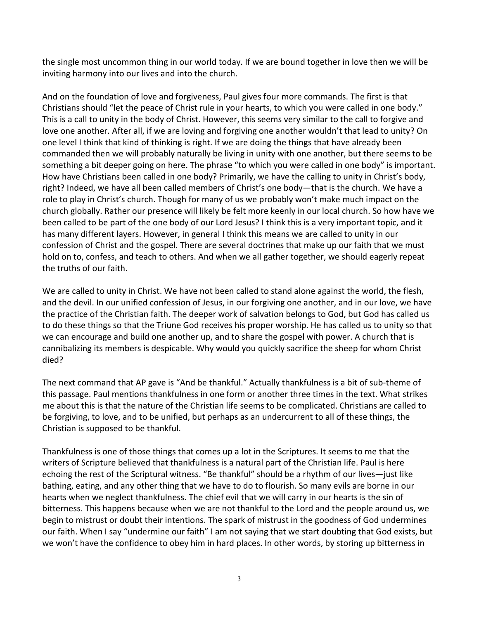the single most uncommon thing in our world today. If we are bound together in love then we will be<br>inviting harmony into our lives and into the church.<br>And on the foundation of love and forgiveness, Paul gives four more c the single most uncommon thing in our world today. If we are bound together in love then we will be<br>inviting harmony into our lives and into the church.<br>And on the foundation of love and forgiveness, Paul gives four more c the single most uncommon thing in our world today. If we are bound together in love then we will be<br>inviting harmony into our lives and into the church.<br>And on the foundation of love and forgiveness, Paul gives four more c the single most uncommon thing in our world today. If we are bound together in love then we will be<br>inviting harmony into our lives and into the church.<br>And on the foundation of love and forgiveness, Paul gives four more c the single most uncommon thing in our world today. If we are bound together in love then we will be<br>inviting harmony into our lives and into the church.<br>And on the foundation of love and forgiveness, Paul gives four more c the single most uncommon thing in our world today. If we are bound together in love then we will be<br>inviting harmony into our lives and into the church.<br>And on the foundation of love and forgiveness, Paul gives four more c the single most uncommon thing in our world today. If we are bound together in love then we will be<br>inviting harmony into our lives and into the church.<br>And on the foundation of love and forgiveness, Paul gives four more c the single most uncommon thing in our world today. If we are bound together in love then we will be inviting harmony into our lives and into the church.<br>And on the foundation of love and forgiveness, Paul gives four more c the single most uncommon thing in our world today. If we are bound together in love then we will be<br>inviting harmony into our lives and into the church.<br>And on the foundation of love and forgiveness, Paul gives four more c the single most uncommon thing in our world today. If we are bound together in love then we will be<br>inviting harmony into our lives and into the church.<br>And on the foundation of love and forgiveness, Paul gives four more c the single most uncommon thing in our world today. If we are bound together in love then we will be<br>inviting harmony into our lives and into the church.<br>And on the foundation of love and forgiveness, Paul gives four more c the single most uncommon thing in our world today. If we are bound together in love then we will be invirting harmony into our lives and into the church.<br>And on the foundation of love and forgiveness, Paul gives four more the single most uncommon thing in our world today. If we are bound together in love then we will be<br>inviting harmony into our lives and into the church.<br>And on the foundation of love and forgiveness, Paul gives four more c the single most uncommon thing in our world today. If we are bound together in love then we will be inviting harmony into our lives and into the church.<br>And on the foundation of love and forgiveness, Paul gives four more c the single most uncommon thing in our world today. If we are bound together in love then we will be inviting harmony into our lives and into the church.<br>And on the foundation of love and forglyeness, Paul gives four more c the single most uncommon thing in our world today. If we are bound together in love then we will be<br>inviting harmony into our lives and into the church.<br>And on the foundation of love and forgiveness, Paul gives four more c the singe most uncommon thing in our world today. It we are bound together in love then we will be<br>inviting harmony into our lives and into the church.<br>And on the foundation of love and forgiveness, Paul gives four more co Inviting harmony into our lives and into the church.<br>And on the foundation of love and forgiveness, Paul gives four more commands. The<br>Christians should "let the peace of Christ rule in your hearts, to which you were calle And on the foundation of love and forgiveness, Paul gives four more commands. The first is that is that the meane of Christ. However, this seems very similar to the call to origive and Christ. However, this seems very simi Christians should "let the peace of Christ the in your hearts, to which you were called in one body."<br>This is a call to unity in the body of Christ. However, this seems very similar to the call to forgive and<br>love one anot This is a call to unity in the body of Christ. However, this serve symilar to the call to oring vertual in the comparation of the care is ensured the and to a proper and the comparated then we will probably hattered it thi love one another, After all, it we are loving and forgiving one another wouldn't that lead to unity? On one nevel it think that do to thing is right. If we are doing the things that the deto unity of no<br>commanded then we w one level think that kind of thinking is ngitt. It we are doing the things that have already been<br>thing a bit deeper going on here. The phrase "to which you were called in one body" is important.<br>How have Christians been c commaned then we will probably naturally be living in unity with one another, put there seems to be<br>something a bit decepr going on here. The phrase "to which you were called in one body" is important.<br>How have Christians right? Indeed, we have all been called members of Christ's one booty—that is the church. We have all likely be felt more booty—that is the church. We have a church, globally, Rather our presence will likely be felt more ke

died? role to play in Chirst's church. Though for many of us we probably won't make much impact on the<br>church globally. Rather our presence will likely be felt more keenly in our local church. So how have we<br>been called to be pa church globally. Nather our presence will likely be telt more keem|y in our local church. So now have we<br>checalled to be part of the one body of our Lord Jesus? I think this is a very important topic, and it<br>has many diffe been called to be part of the one booy of our Lord Besus? I think his is a very mportant topic, and it has is a very mportant topic, and it consission of Christ and the gospel. There are several doctrines that make up our has many different layers. However, in general i think this means we are called to unity in our<br>confession of Christ and the gospel. There are several doctrines that make up our failth that we<br>hold on to, confess, and tea nol on to, contess, and teach to others. And when we all gather together, we should eagerly repeat<br>the truths of our faith. We have not been called to stand alone against the world, the flesh,<br>and the devil. In our unified the truths of our tath.<br>We are called to unity in Christ. We have not been called to stand alone against the world, the flesh,<br>the devil, in our unified confession of Jesus, in our forgiving one another, and in our love, w

We are called to unity in Christ. We have not been called to stand alone against the world, the flesh,<br>and the devil. In our unified confession of Jesus, in our forgiving one another, and in our love, we have<br>the practice We are called to unity in Christ. We have to theen called to stand alone against the world, the lest, the stand of the dependent of that we are the practice of the Christian faith. The deeper work of salvation belongs to G and the devil. In our unified contession of Jesus, in our trorgizing one another, and in our love, we have thankfull they ractice of the Christian faith. The deeper work of salvation belongs to God, but God has called us t the practice of the Christian haith. The deeper work of sabraton belongs to Gool, but Gool has called us<br>to do these things so that Triune God receivers his proper worship. He has called us to unity so that<br>we can encourag to do these things of that Friume God receives his proper worship. He has called us to unity so that the Triume God receives his proper worship. He has called us to unity so the cannot have the sensiblalizing its members i we can encourage and build one another up, and to share the gospel with power. A church that is<br>tieding its members is despicable. Why would you quickly sacrifice the sheep for whom Christ<br>died?<br>The next command that AP ga cannularizing its members is despicable. Why would you quickly sacritice the sheep for whom Christ<br>The next command that AP gave is "And be thankful." Actually thankfulness is a bit of sub-theme of<br>this passage. Paul menti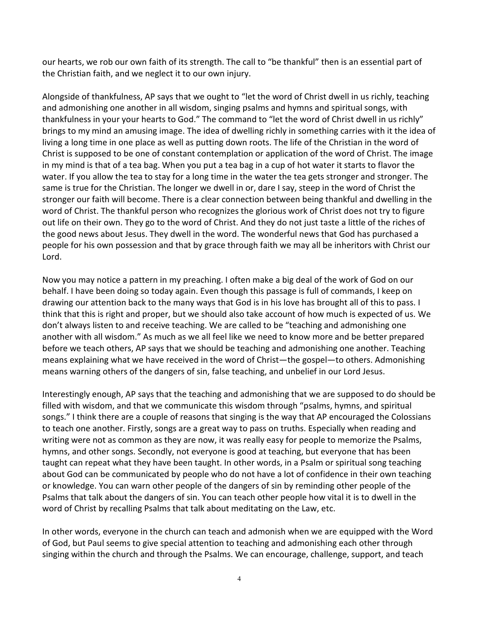our hearts, we rob our own faith of its strength. The call to "be thankful" then is an essential part of<br>the Christian faith, and we neglect it to our own injury.<br>Alongside of thankfulness, AP says that we ought to "let th our hearts, we rob our own faith of its strength. The call to "be thankful" then is an essential part of<br>the Christian faith, and we neglect it to our own injury.<br>Alongside of thankfulness, AP says that we ought to "let th our hearts, we rob our own faith of its strength. The call to "be thankful" then is an essential part of<br>the Christian faith, and we neglect it to our own injury.<br>Alongside of thankfulness, AP says that we ought to "let th our hearts, we rob our own faith of its strength. The call to "be thankful" then is an essential part of<br>the Christian faith, and we neglect it to our own injury.<br>Alongside of thankfulness, AP says that we ought to "let th our hearts, we rob our own faith of its strength. The call to "be thankful" then is an essential part of<br>the Christian faith, and we neglect it to our own injury.<br>Alongside of thankfulness, AP says that we ought to "let th our hearts, we rob our own faith of its strength. The call to "be thankful" then is an essential part of<br>the Christian faith, and we neglect it to our own injury.<br>Alongside of thankfulness, AP says that we ought to "let th our hearts, we rob our own faith of its strength. The call to "be thankful" then is an essential part of<br>the Christian faith, and we neglect it to our own injury.<br>Alongside of thankfulnees, AP says that we ought to "let th our hearts, we rob our own faith of its strength. The call to "be thankful" then is an essential part of<br>the Christian faith, and we neglect it to our own injury.<br>Alongside of thankfulness, AP says that we ought to "let th our hearts, we rob our own faith of its strength. The call to "be thankful" then is an essential part of<br>the Christian faith, and we neglect it to our own injury.<br>Alongside of thankfulness, AP says that we ought to "let th our hearts, we rob our own faith of its strength. The call to "be thankful" then is an essential part of<br>the Christian faith, and we neglect it to our own injury.<br>Alongside of thankfulness, AP says that we ought to "let th our hearts, we rob our own faith of its strength. The call to "be thankful" then is an essential part of<br>the Christian faith, and we neglect it to our own injury.<br>Alongside of thankfulness, AP says that we ought to "let th our hearts, we rob our own faith of its strength. The call to "be thankful" then is an essential part of<br>the Christian faith, and we neglect it to our own injury.<br>Alongside of thankfulness, AP says that we ought to "let th our hearts, we rob our own faith of its strength. The call to "be thankful" then is an essential part of<br>the Christian faith, and we neglect it to our own injury.<br>Alongside of thankfulness, AP says that we ought to "let th our hearts, we rob our own faith of its strength. The call to "be thankful" then is an essential part of<br>the Christian faith, and we neglect it to our own injury.<br>Alongside of thankfulness, AP says that we ought to "let th our hearts, we rob our own faith of its strength. The call to "be thankful" then is an essential part of<br>the Christian faith, and we neglect it to our own injury.<br>Alongside of thankfulness, AP says that we ought to "let th our hearts, we rob our own faith of its strength. The call to "be thankful" then is an essential part of<br>the Christian faith, and we neglect it to our own injury.<br>Alongside of thankfulness, AP says that we ought to "let th Lord. Alongside of thankfulness, AP says that we ought to "let the word of Christ dwell in us richly, teaching<br>and admonishing one another in all wisdom, singing psalms and hymns and spiritual songs, with<br>thankfulness in your yo Alongside of that hull become. The sole that we ought to "let the word of Christ dwell in us richly"<br>And admonishing one another in all wisdom, singing psalms and hyms and spiritual songs, with<br>thankfulness in your your le and admonishing one another in all wistdom, singing psalms and hymns and spirrival songs, with<br>thankfulness in your your hearts to God." The command to "let the word of Christ swell in us richly"<br>brings to my mind an amusi thanktulenes in your you happents to God." The command to "let the word of Christ dwell in us richly<br>things to my mind an amusing lmage. The idea of dwelling richly in something carries with it the idea of<br>living a long ti brings to my mind an amusing image. The idea of dwelling richly in something carries with it the idea of the six pposed to be one of constant contemplation or application of the word of Christ. The image Christ is supposed ilving a long time in one place as well as putting down roots. The life of the Christian in the word of Christ,<br>Christ is supposed to be one of constant contemplation or application of the word of Christ. The image<br>in my m Christ supposed to be one of constant contenplation or application of phoronomic and Christ. The image Christ and the teaching and on the water it starts to flavor the water. If you allow the tea to stay for a long time in

m my mind is that of a tea bag. When you put a tea bag in a cup of not water it starts to flavor the some six to may the some six to may in the word of Christ the same is true for the Christian. The longer we dwell in or, water. It you allow the tea to stay for a long time in the water the tea gets stronger and stronger. In<br>same is true for the Christian. The longer we dwell in or, dare I say, steep in the word of Christ the<br>stronger our fa stronger our trait will become. There is a dear connection between being thanking and weveling in the teaching where the teaching in the depoted of this to the term on the productive on the teaching that the good news abou word of Christ. The thankfull person wino recognizes the gloriusus work of Christ as ons thy to the versual theories of the good news about Jesus. They dwell in the word. The wonderful news that God has purchased a<br>the goo out life on their own. I hey go to the word of Christ. And they do not just taske a little of the riches of<br>the good news about Jesus. They dwell in the word. The wonderful news that God has purchased a<br>people for his own the good news about Jesus. They dwell in the word. The wondertul news that God has purchased a<br>the good news about Jesus. They dwell in the two range through faith we may all be inheritors with Christ our<br>Lord.<br>Now you may

people for his own possession and that by grace through taith we may all be inheritors with Christ our bond by a bond  $\sim$  bond  $\sim$  bond  $\sim$  bond  $\sim$  bond  $\sim$  bond  $\sim$  bond  $\sim$  bond  $\sim$  bond  $\sim$  bond  $\sim$  bond  $\sim$ Lord.<br>Now you may notice a pattern in my preaching. I often make a big deal of the work of God on our<br>Nowhig our attention back to the many ways that God is in his love has brought all of this to pass. I<br>drawing our attent Now you may notice a pattern in my preaching. I often make a big deal of the work of God on our behalf. I have been doing so today again. Even though this passage is full of commands, I keep on drawing our attention back t Now you may notice a pattern in my preaching 1 otten make a big deal of the work of God on our<br>Now you may notice a pattern in my preaching a lot the communical state and the work of God is in this love has brought all of behall: I have been doing so today again. Even though this passage is full of commands, I keep on<br>drawing our attention back to the many ways that God is in his love has brought all of this to pass. I<br>think that this is ri drawith all the this top associate the many ways that God is in his love has brought all of this to pass. It is in the party and admonishing one changers that this is right and proper, but we should also take account of ho think that this is right and proper, but we should also take account of how much is expected ot us. We don't always listen to and receive teaching. We are called to be "teaching and admonishing one another with all wisdom. another with all wisdom." As much as we all teel like we need to know more and be better prepared by before we teach others, AP says that we should be teaching and admonishing one another. Teaching means explaining what we betore we teach others, AP says that we should be teaching and admonishing one another. Teaching converter actions of means explaining what we have received in the word of Christ—the gospel—to others. Admonishing means war means explaining what we have received in the word of Christ—the gospel—to cothers. Admonishing means warning others of the dangers of sin, false teaching, and unbelief in our Lord Jesus.<br>Interestingly enough, AP says that